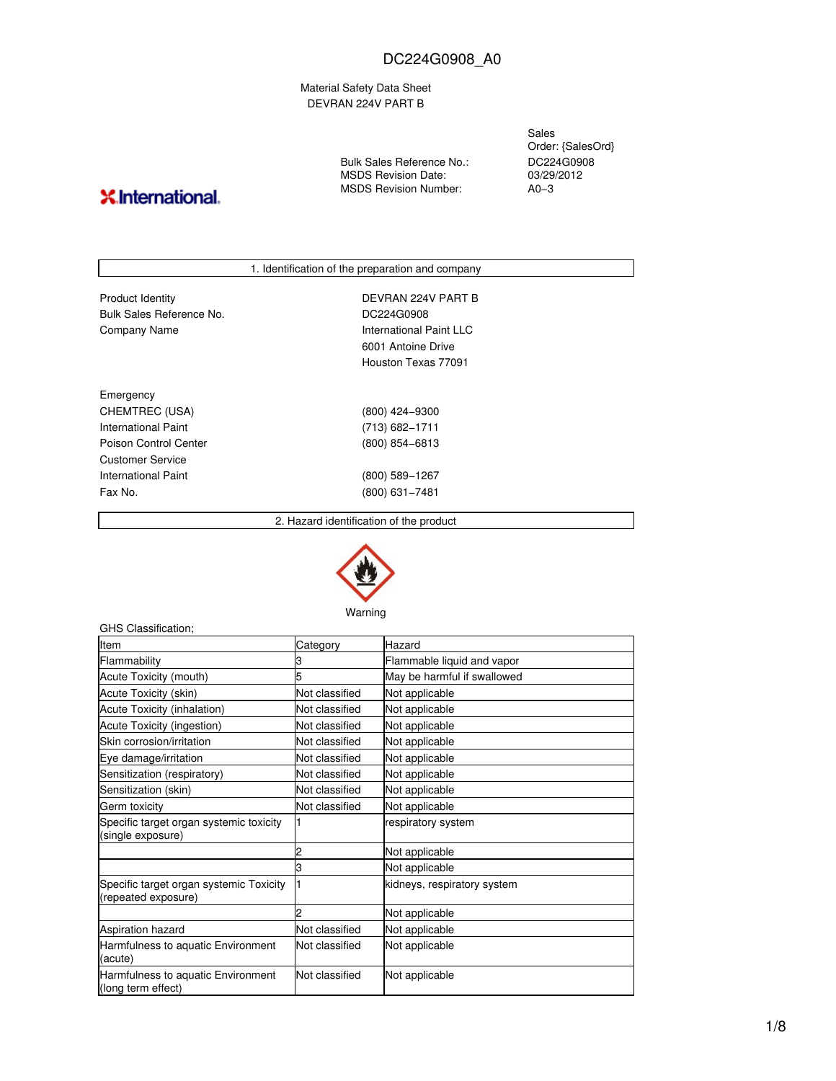Material Safety Data Sheet DEVRAN 224V PART B

Bulk Sales Reference No.: MSDS Revision Date: MSDS Revision Number:

Sales Order: {SalesOrd} DC224G0908 03/29/2012  $AD-3$ 

# **X**.International.

|                          | 1. Identification of the preparation and company |  |
|--------------------------|--------------------------------------------------|--|
|                          |                                                  |  |
| <b>Product Identity</b>  | DEVRAN 224V PART B                               |  |
| Bulk Sales Reference No. | DC224G0908                                       |  |
| Company Name             | International Paint LLC                          |  |
|                          | 6001 Antoine Drive                               |  |
|                          | Houston Texas 77091                              |  |
| Emergency                |                                                  |  |
|                          |                                                  |  |
| CHEMTREC (USA)           | (800) 424-9300                                   |  |
| International Paint      | $(713) 682 - 1711$                               |  |
| Poison Control Center    | $(800)$ 854-6813                                 |  |
| Customer Service         |                                                  |  |
| International Paint      | (800) 589-1267                                   |  |
| Fax No.                  | $(800)$ 631-7481                                 |  |
|                          |                                                  |  |

2. Hazard identification of the product



Warning

| GHS Classification;                                            |                |                             |
|----------------------------------------------------------------|----------------|-----------------------------|
| Item                                                           | Category       | Hazard                      |
| Flammability                                                   |                | Flammable liquid and vapor  |
| Acute Toxicity (mouth)                                         |                | May be harmful if swallowed |
| Acute Toxicity (skin)                                          | Not classified | Not applicable              |
| <b>Acute Toxicity (inhalation)</b>                             | Not classified | Not applicable              |
| Acute Toxicity (ingestion)                                     | Not classified | Not applicable              |
| Skin corrosion/irritation                                      | Not classified | Not applicable              |
| Eye damage/irritation                                          | Not classified | Not applicable              |
| Sensitization (respiratory)                                    | Not classified | Not applicable              |
| Sensitization (skin)                                           | Not classified | Not applicable              |
| Germ toxicity                                                  | Not classified | Not applicable              |
| Specific target organ systemic toxicity<br>(single exposure)   | 1              | respiratory system          |
|                                                                | 2              | Not applicable              |
|                                                                | 3              | Not applicable              |
| Specific target organ systemic Toxicity<br>(repeated exposure) | 1              | kidneys, respiratory system |
|                                                                |                | Not applicable              |
| <b>Aspiration hazard</b>                                       | Not classified | Not applicable              |
| Harmfulness to aquatic Environment<br>(acute)                  | Not classified | Not applicable              |
| Harmfulness to aquatic Environment<br>(long term effect)       | Not classified | Not applicable              |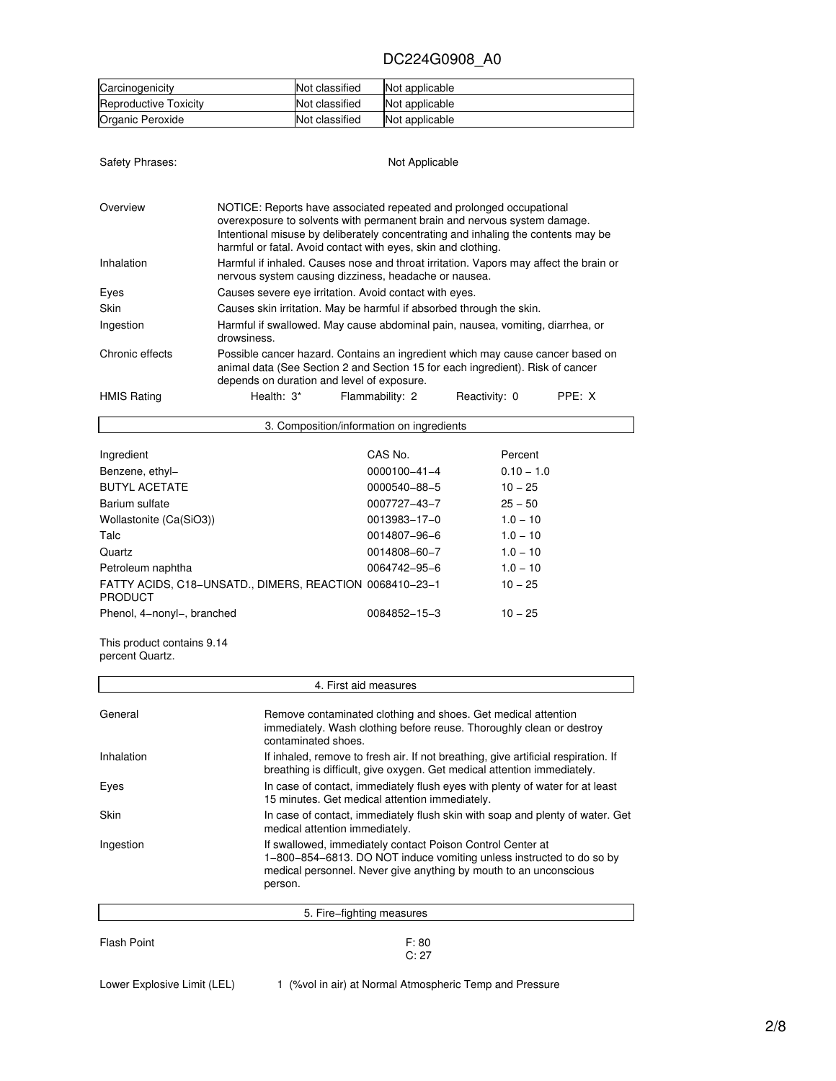| Carcinogenicity              | Not classified | Not applicable |
|------------------------------|----------------|----------------|
| <b>Reproductive Toxicity</b> | Not classified | Not applicable |
| Organic Peroxide             | Not classified | Not applicable |

Safety Phrases: Not Applicable

| Overview           | NOTICE: Reports have associated repeated and prolonged occupational<br>overexposure to solvents with permanent brain and nervous system damage.<br>Intentional misuse by deliberately concentrating and inhaling the contents may be<br>harmful or fatal. Avoid contact with eyes, skin and clothing. |  |  |  |  |  |
|--------------------|-------------------------------------------------------------------------------------------------------------------------------------------------------------------------------------------------------------------------------------------------------------------------------------------------------|--|--|--|--|--|
| Inhalation         | Harmful if inhaled. Causes nose and throat irritation. Vapors may affect the brain or<br>nervous system causing dizziness, headache or nausea.                                                                                                                                                        |  |  |  |  |  |
| Eyes               | Causes severe eve irritation. Avoid contact with eyes.                                                                                                                                                                                                                                                |  |  |  |  |  |
| <b>Skin</b>        | Causes skin irritation. May be harmful if absorbed through the skin.                                                                                                                                                                                                                                  |  |  |  |  |  |
| Ingestion          | Harmful if swallowed. May cause abdominal pain, nausea, vomiting, diarrhea, or<br>drowsiness.                                                                                                                                                                                                         |  |  |  |  |  |
| Chronic effects    | Possible cancer hazard. Contains an ingredient which may cause cancer based on<br>animal data (See Section 2 and Section 15 for each ingredient). Risk of cancer<br>depends on duration and level of exposure.                                                                                        |  |  |  |  |  |
| <b>HMIS Rating</b> | PPE: X<br>Health: 3*<br>Flammability: 2<br>Reactivity: 0                                                                                                                                                                                                                                              |  |  |  |  |  |

| 3. Composition/information on ingredients                                 |                    |              |  |  |
|---------------------------------------------------------------------------|--------------------|--------------|--|--|
| Ingredient                                                                | CAS No.            | Percent      |  |  |
| Benzene, ethyl-                                                           | $0000100 - 41 - 4$ | $0.10 - 1.0$ |  |  |
| <b>BUTYL ACETATE</b>                                                      | 0000540-88-5       | $10 - 25$    |  |  |
| Barium sulfate                                                            | 0007727-43-7       | $25 - 50$    |  |  |
| Wollastonite (Ca(SiO3))                                                   | 0013983-17-0       | $1.0 - 10$   |  |  |
| Talc                                                                      | 0014807-96-6       | $1.0 - 10$   |  |  |
| Quartz                                                                    | 0014808-60-7       | $1.0 - 10$   |  |  |
| Petroleum naphtha                                                         | 0064742-95-6       | $1.0 - 10$   |  |  |
| FATTY ACIDS, C18-UNSATD., DIMERS, REACTION 0068410-23-1<br><b>PRODUCT</b> |                    | $10 - 25$    |  |  |
| Phenol, 4-nonyl-, branched                                                | 0084852-15-3       | $10 - 25$    |  |  |

This product contains 9.14 percent Quartz.

 $\Gamma$ 

|                    | 4. First aid measures                                                                                                                                                                                              |
|--------------------|--------------------------------------------------------------------------------------------------------------------------------------------------------------------------------------------------------------------|
| General            | Remove contaminated clothing and shoes. Get medical attention<br>immediately. Wash clothing before reuse. Thoroughly clean or destroy<br>contaminated shoes.                                                       |
| Inhalation         | If inhaled, remove to fresh air. If not breathing, give artificial respiration. If<br>breathing is difficult, give oxygen. Get medical attention immediately.                                                      |
| Eyes               | In case of contact, immediately flush eyes with plenty of water for at least<br>15 minutes. Get medical attention immediately.                                                                                     |
| Skin               | In case of contact, immediately flush skin with soap and plenty of water. Get<br>medical attention immediately.                                                                                                    |
| Ingestion          | If swallowed, immediately contact Poison Control Center at<br>1-800-854-6813. DO NOT induce vomiting unless instructed to do so by<br>medical personnel. Never give anything by mouth to an unconscious<br>person. |
|                    | 5. Fire–fighting measures                                                                                                                                                                                          |
| <b>Flash Point</b> | F: 80                                                                                                                                                                                                              |

Lower Explosive Limit (LEL) 1 (%vol in air) at Normal Atmospheric Temp and Pressure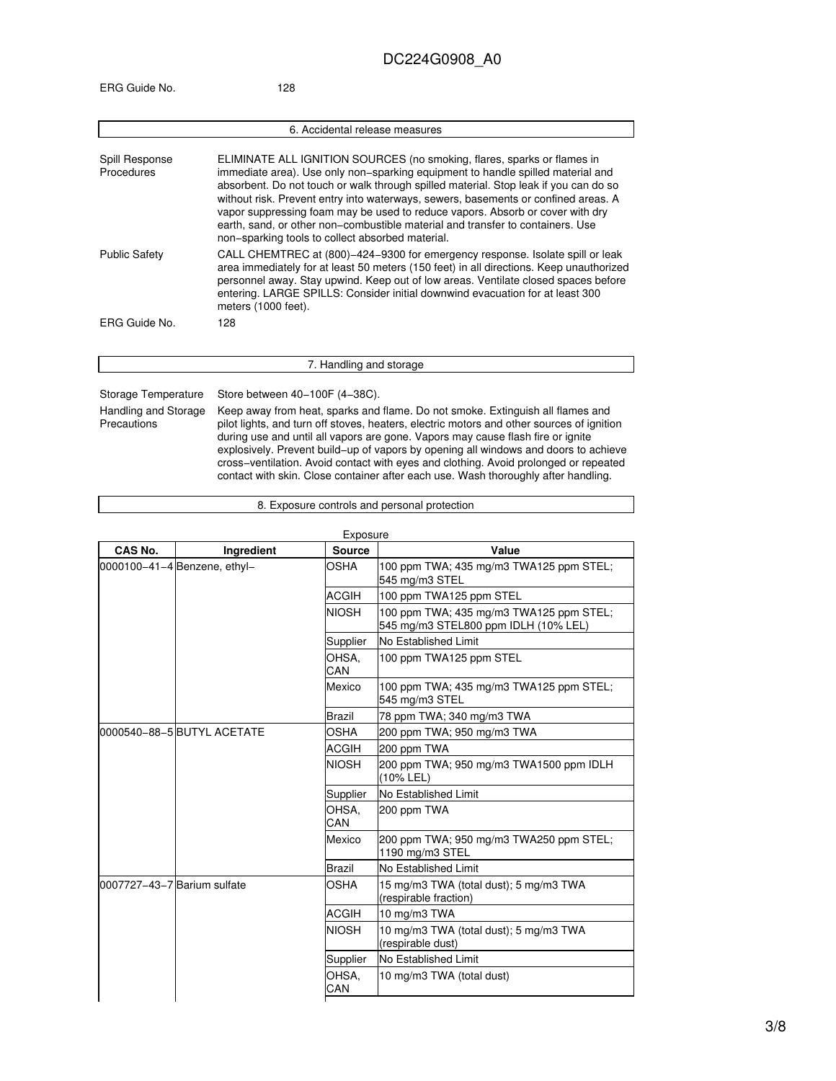|                                     | 6. Accidental release measures                                                                                                                                                                                                                                                                                                                                                                                                                                                                                                                                  |
|-------------------------------------|-----------------------------------------------------------------------------------------------------------------------------------------------------------------------------------------------------------------------------------------------------------------------------------------------------------------------------------------------------------------------------------------------------------------------------------------------------------------------------------------------------------------------------------------------------------------|
| Spill Response<br>Procedures        | ELIMINATE ALL IGNITION SOURCES (no smoking, flares, sparks or flames in<br>immediate area). Use only non-sparking equipment to handle spilled material and<br>absorbent. Do not touch or walk through spilled material. Stop leak if you can do so<br>without risk. Prevent entry into waterways, sewers, basements or confined areas. A<br>vapor suppressing foam may be used to reduce vapors. Absorb or cover with dry<br>earth, sand, or other non–combustible material and transfer to containers. Use<br>non-sparking tools to collect absorbed material. |
| <b>Public Safety</b>                | CALL CHEMTREC at (800)-424-9300 for emergency response. Isolate spill or leak<br>area immediately for at least 50 meters (150 feet) in all directions. Keep unauthorized<br>personnel away. Stay upwind. Keep out of low areas. Ventilate closed spaces before<br>entering. LARGE SPILLS: Consider initial downwind evacuation for at least 300<br>meters (1000 feet).                                                                                                                                                                                          |
| ERG Guide No.                       | 128                                                                                                                                                                                                                                                                                                                                                                                                                                                                                                                                                             |
|                                     | 7. Handling and storage                                                                                                                                                                                                                                                                                                                                                                                                                                                                                                                                         |
| Storage Temperature                 | Store between 40-100F (4-38C).                                                                                                                                                                                                                                                                                                                                                                                                                                                                                                                                  |
| Handling and Storage<br>Precautions | Keep away from heat, sparks and flame. Do not smoke. Extinguish all flames and<br>pilot lights, and turn off stoves, heaters, electric motors and other sources of ignition<br>during use and until all vapors are gone. Vapors may cause flash fire or ignite<br>explosively. Prevent build-up of vapors by opening all windows and doors to achieve<br>cross-ventilation. Avoid contact with eyes and clothing. Avoid prolonged or repeated<br>contact with skin. Close container after each use. Wash thoroughly after handling.                             |

#### 8. Exposure controls and personal protection

| CAS No.                      | Ingredient   | Exposure<br><b>Source</b>  | Value                                                                           |
|------------------------------|--------------|----------------------------|---------------------------------------------------------------------------------|
| 0000100-41-4 Benzene, ethyl- |              | OSHA                       | 100 ppm TWA; 435 mg/m3 TWA125 ppm STEL;<br>545 mg/m3 STEL                       |
|                              |              | <b>ACGIH</b>               | 100 ppm TWA125 ppm STEL                                                         |
|                              |              | <b>NIOSH</b>               | 100 ppm TWA; 435 mg/m3 TWA125 ppm STEL;<br>545 mg/m3 STEL800 ppm IDLH (10% LEL) |
|                              |              | Supplier                   | No Established Limit                                                            |
|                              |              | OHSA.<br>CAN               | 100 ppm TWA125 ppm STEL                                                         |
|                              |              | Mexico                     | 100 ppm TWA; 435 mg/m3 TWA125 ppm STEL;<br>545 mg/m3 STEL                       |
|                              |              | Brazil                     | 78 ppm TWA; 340 mg/m3 TWA                                                       |
| 0000540-88-5 BUTYL ACETATE   | OSHA         | 200 ppm TWA; 950 mg/m3 TWA |                                                                                 |
|                              | <b>ACGIH</b> | 200 ppm TWA                |                                                                                 |
|                              |              | <b>NIOSH</b>               | 200 ppm TWA; 950 mg/m3 TWA1500 ppm IDLH<br>(10% LEL)                            |
|                              |              | Supplier                   | No Established Limit                                                            |
|                              |              | OHSA.<br>CAN               | 200 ppm TWA                                                                     |
|                              |              | Mexico                     | 200 ppm TWA; 950 mg/m3 TWA250 ppm STEL;<br>1190 mg/m3 STEL                      |
|                              |              | Brazil                     | No Established Limit                                                            |
| l0007727-43-7 Barium sulfate |              | OSHA                       | 15 mg/m3 TWA (total dust); 5 mg/m3 TWA<br>(respirable fraction)                 |
|                              |              | <b>ACGIH</b>               | 10 mg/m3 TWA                                                                    |
|                              |              | <b>NIOSH</b>               | 10 mg/m3 TWA (total dust); 5 mg/m3 TWA<br>(respirable dust)                     |
|                              |              | Supplier                   | No Established Limit                                                            |
|                              |              | OHSA.<br>CAN               | 10 mg/m3 TWA (total dust)                                                       |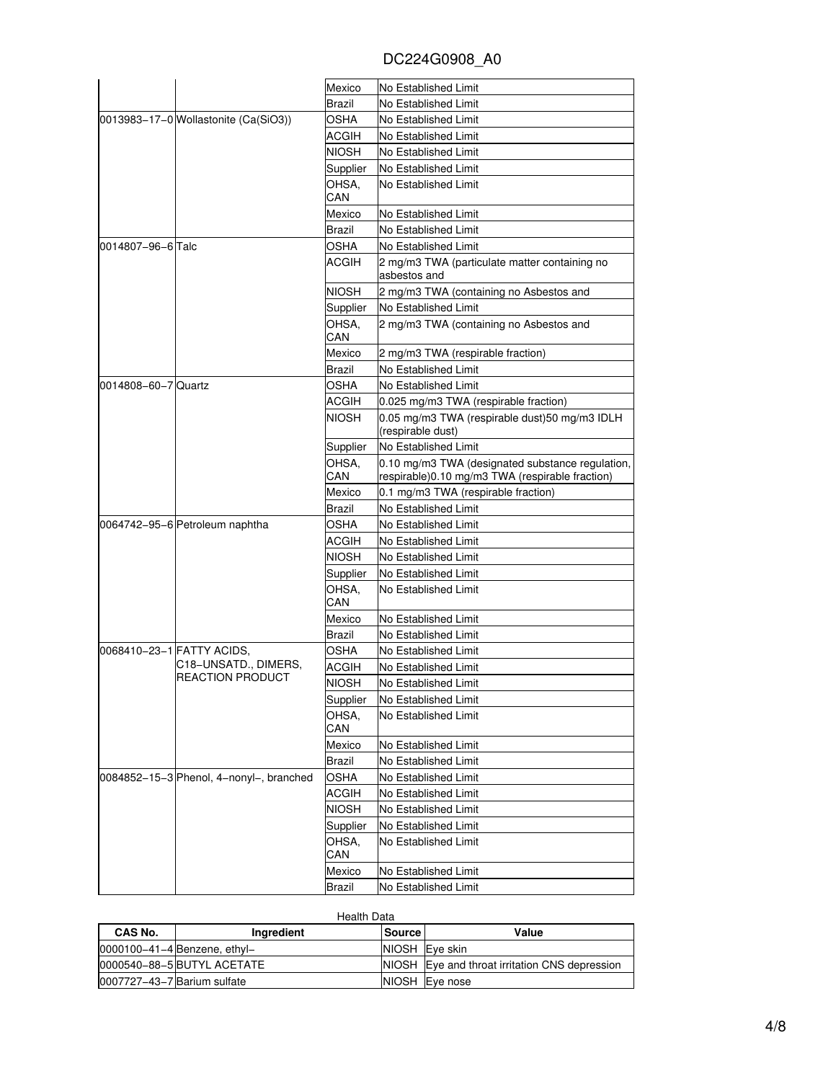|                     |                                         | Mexico        | No Established Limit                             |
|---------------------|-----------------------------------------|---------------|--------------------------------------------------|
|                     |                                         | Brazil        | No Established Limit                             |
|                     | 0013983-17-0 Wollastonite (Ca(SiO3))    | <b>OSHA</b>   | No Established Limit                             |
|                     |                                         | ACGIH         | No Established Limit                             |
|                     |                                         | <b>NIOSH</b>  | No Established Limit                             |
|                     |                                         | Supplier      | No Established Limit                             |
|                     |                                         | OHSA.         | No Established Limit                             |
|                     |                                         | CAN           |                                                  |
|                     |                                         | Mexico        | No Established Limit                             |
|                     |                                         | Brazil        | No Established Limit                             |
| l0014807–96–6lTalc  |                                         | OSHA          | No Established Limit                             |
|                     |                                         | ACGIH         | 2 mg/m3 TWA (particulate matter containing no    |
|                     |                                         |               | asbestos and                                     |
|                     |                                         | NIOSH         | 2 mg/m3 TWA (containing no Asbestos and          |
|                     |                                         | Supplier      | No Established Limit                             |
|                     |                                         | OHSA.         | 2 mg/m3 TWA (containing no Asbestos and          |
|                     |                                         | CAN           |                                                  |
|                     |                                         | Mexico        | 2 mg/m3 TWA (respirable fraction)                |
|                     |                                         | Brazil        | No Established Limit                             |
| 0014808-60-7 Quartz |                                         | OSHA          | No Established Limit                             |
|                     |                                         | ACGIH         | 0.025 mg/m3 TWA (respirable fraction)            |
|                     |                                         | NIOSH         | 0.05 mg/m3 TWA (respirable dust) 50 mg/m3 IDLH   |
|                     |                                         |               | (respirable dust)                                |
|                     |                                         | Supplier      | No Established Limit                             |
|                     |                                         | OHSA.         | 0.10 mg/m3 TWA (designated substance regulation, |
|                     |                                         | CAN           | respirable)0.10 mg/m3 TWA (respirable fraction)  |
|                     |                                         | Mexico        | 0.1 mg/m3 TWA (respirable fraction)              |
|                     |                                         | Brazil        | No Established Limit                             |
|                     | 0064742-95-6 Petroleum naphtha          | OSHA          | No Established Limit                             |
|                     |                                         | ACGIH         | No Established Limit                             |
|                     |                                         | <b>NIOSH</b>  | No Established Limit                             |
|                     |                                         | Supplier      | No Established Limit                             |
|                     |                                         | OHSA.         | No Established Limit                             |
|                     |                                         | CAN           |                                                  |
|                     |                                         | Mexico        | No Established Limit                             |
|                     |                                         | Brazil        | No Established Limit                             |
|                     | 0068410–23–1 FATTY ACIDS,               | OSHA          | No Established Limit                             |
|                     | C18-UNSATD., DIMERS,                    | ACGIH         | No Established Limit                             |
|                     | <b>REACTION PRODUCT</b>                 | <b>NIOSH</b>  | <b>No Established Limit</b>                      |
|                     |                                         |               |                                                  |
|                     |                                         |               |                                                  |
|                     |                                         | Supplier      | No Established Limit                             |
|                     |                                         | OHSA,         | No Established Limit                             |
|                     |                                         | CAN           |                                                  |
|                     |                                         | Mexico        | No Established Limit                             |
|                     |                                         | Brazil        | No Established Limit                             |
|                     | 0084852-15-3 Phenol, 4-nonyl-, branched | OSHA          | No Established Limit                             |
|                     |                                         | ACGIH         | No Established Limit                             |
|                     |                                         | NIOSH         | No Established Limit                             |
|                     |                                         | Supplier      | No Established Limit                             |
|                     |                                         | OHSA,         | No Established Limit                             |
|                     |                                         | CAN<br>Mexico | No Established Limit                             |

| <b>Health Data</b>          |                                    |               |                                                |
|-----------------------------|------------------------------------|---------------|------------------------------------------------|
| CAS No.                     | Ingredient                         | <b>Source</b> | Value                                          |
|                             | $0000100 - 41 - 4$ Benzene, ethyl- |               | NIOSH Eye skin                                 |
|                             | 0000540-88-5 BUTYL ACETATE         |               | NIOSH Eye and throat irritation CNS depression |
| 0007727-43-7 Barium sulfate |                                    |               | NIOSH Eye nose                                 |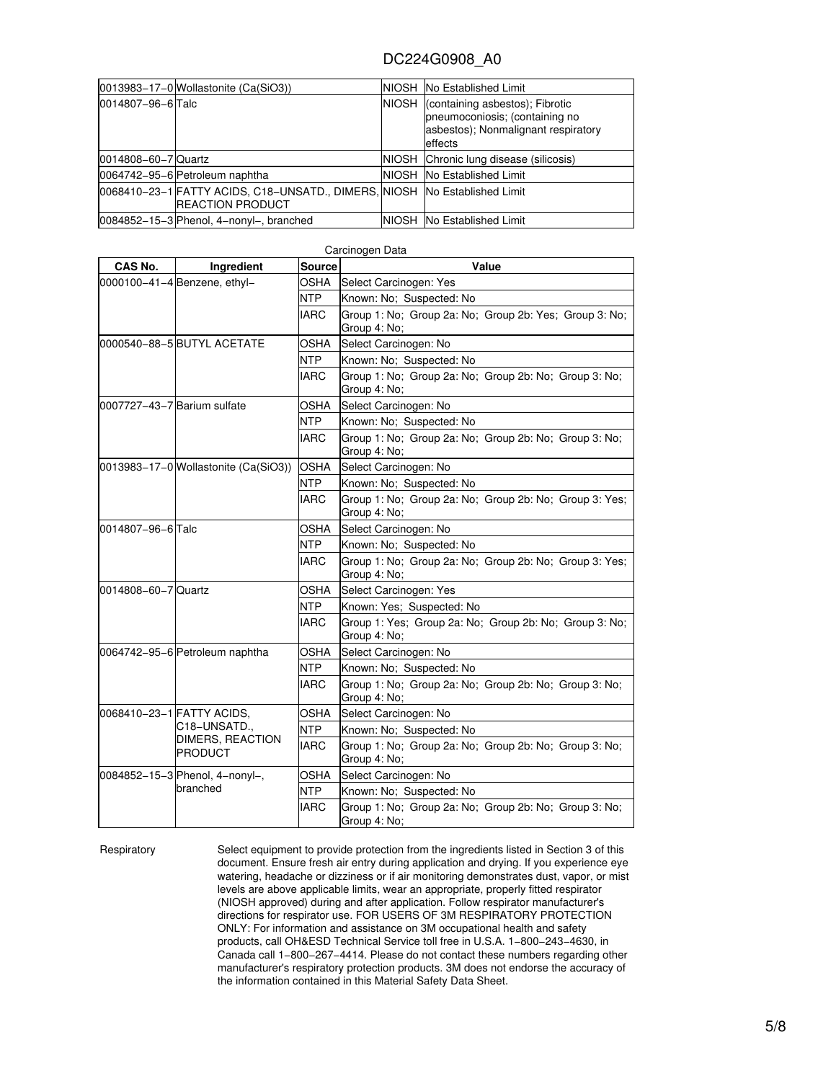|                     | $ 0013983-17-0 $ Wollastonite (Ca(SiO3))                                                             |              | <b>NIOSH No Established Limit</b>                                                                                          |
|---------------------|------------------------------------------------------------------------------------------------------|--------------|----------------------------------------------------------------------------------------------------------------------------|
| 0014807-96-6 Talc   |                                                                                                      | <b>NIOSH</b> | (containing asbestos); Fibrotic<br>pneumoconiosis; (containing no<br>asbestos); Nonmalignant respiratory<br><b>effects</b> |
| 0014808-60-7 Quartz |                                                                                                      |              | NIOSH Chronic lung disease (silicosis)                                                                                     |
|                     | 0064742-95-6 Petroleum naphtha                                                                       |              | <b>NIOSH</b> No Established Limit                                                                                          |
|                     | 0068410-23-1 FATTY ACIDS, C18-UNSATD., DIMERS, NIOSH No Established Limit<br><b>REACTION PRODUCT</b> |              |                                                                                                                            |
|                     | 0084852-15-3 Phenol, 4-nonyl-, branched                                                              |              | NIOSH No Established Limit                                                                                                 |

| CAS No.                     | Ingredient                           | Source      | Value                                                                  |
|-----------------------------|--------------------------------------|-------------|------------------------------------------------------------------------|
|                             | 0000100-41-4 Benzene, ethyl-         | OSHA        | Select Carcinogen: Yes                                                 |
|                             |                                      | <b>NTP</b>  | Known: No; Suspected: No                                               |
|                             |                                      | <b>IARC</b> | Group 1: No; Group 2a: No; Group 2b: Yes; Group 3: No;<br>Group 4: No; |
|                             | 0000540-88-5 BUTYL ACETATE           | OSHA        | Select Carcinogen: No                                                  |
|                             |                                      | <b>NTP</b>  | Known: No; Suspected: No                                               |
|                             |                                      | <b>IARC</b> | Group 1: No: Group 2a: No: Group 2b: No: Group 3: No:<br>Group 4: No;  |
| 0007727-43-7 Barium sulfate |                                      | OSHA        | Select Carcinogen: No                                                  |
|                             |                                      | <b>NTP</b>  | Known: No: Suspected: No                                               |
|                             |                                      | <b>IARC</b> | Group 1: No: Group 2a: No: Group 2b: No: Group 3: No:<br>Group 4: No;  |
|                             | 0013983-17-0 Wollastonite (Ca(SiO3)) | <b>OSHA</b> | Select Carcinogen: No                                                  |
|                             |                                      | <b>NTP</b>  | Known: No; Suspected: No                                               |
|                             |                                      | <b>IARC</b> | Group 1: No: Group 2a: No: Group 2b: No: Group 3: Yes:<br>Group 4: No; |
| 0014807-96-6 Talc           |                                      | OSHA        | Select Carcinogen: No                                                  |
|                             |                                      | <b>NTP</b>  | Known: No; Suspected: No                                               |
|                             |                                      | <b>IARC</b> | Group 1: No; Group 2a: No; Group 2b: No; Group 3: Yes;<br>Group 4: No; |
| 0014808-60-7 Quartz         |                                      | <b>OSHA</b> | Select Carcinogen: Yes                                                 |
|                             |                                      | <b>NTP</b>  | Known: Yes: Suspected: No                                              |
|                             |                                      | <b>IARC</b> | Group 1: Yes; Group 2a: No; Group 2b: No; Group 3: No;<br>Group 4: No; |
|                             | 0064742-95-6 Petroleum naphtha       | OSHA        | Select Carcinogen: No                                                  |
|                             |                                      | <b>NTP</b>  | Known: No; Suspected: No                                               |
|                             |                                      | <b>IARC</b> | Group 1: No; Group 2a: No; Group 2b: No; Group 3: No;<br>Group 4: No;  |
|                             | 0068410-23-1 FATTY ACIDS,            | OSHA        | Select Carcinogen: No                                                  |
|                             | C18-UNSATD.,                         | <b>NTP</b>  | Known: No; Suspected: No                                               |
|                             | DIMERS, REACTION<br><b>PRODUCT</b>   | IARC        | Group 1: No; Group 2a: No; Group 2b: No; Group 3: No;<br>Group 4: No;  |
|                             | 0084852-15-3 Phenol, 4-nonyl-,       | OSHA        | Select Carcinogen: No                                                  |
|                             | branched                             | <b>NTP</b>  | Known: No; Suspected: No                                               |
|                             |                                      | IARC        | Group 1: No: Group 2a: No: Group 2b: No: Group 3: No:<br>Group 4: No:  |

#### Carcinogen Data

Respiratory Select equipment to provide protection from the ingredients listed in Section 3 of this document. Ensure fresh air entry during application and drying. If you experience eye watering, headache or dizziness or if air monitoring demonstrates dust, vapor, or mist levels are above applicable limits, wear an appropriate, properly fitted respirator (NIOSH approved) during and after application. Follow respirator manufacturer's directions for respirator use. FOR USERS OF 3M RESPIRATORY PROTECTION ONLY: For information and assistance on 3M occupational health and safety products, call OH&ESD Technical Service toll free in U.S.A. 1−800−243−4630, in Canada call 1−800−267−4414. Please do not contact these numbers regarding other manufacturer's respiratory protection products. 3M does not endorse the accuracy of the information contained in this Material Safety Data Sheet.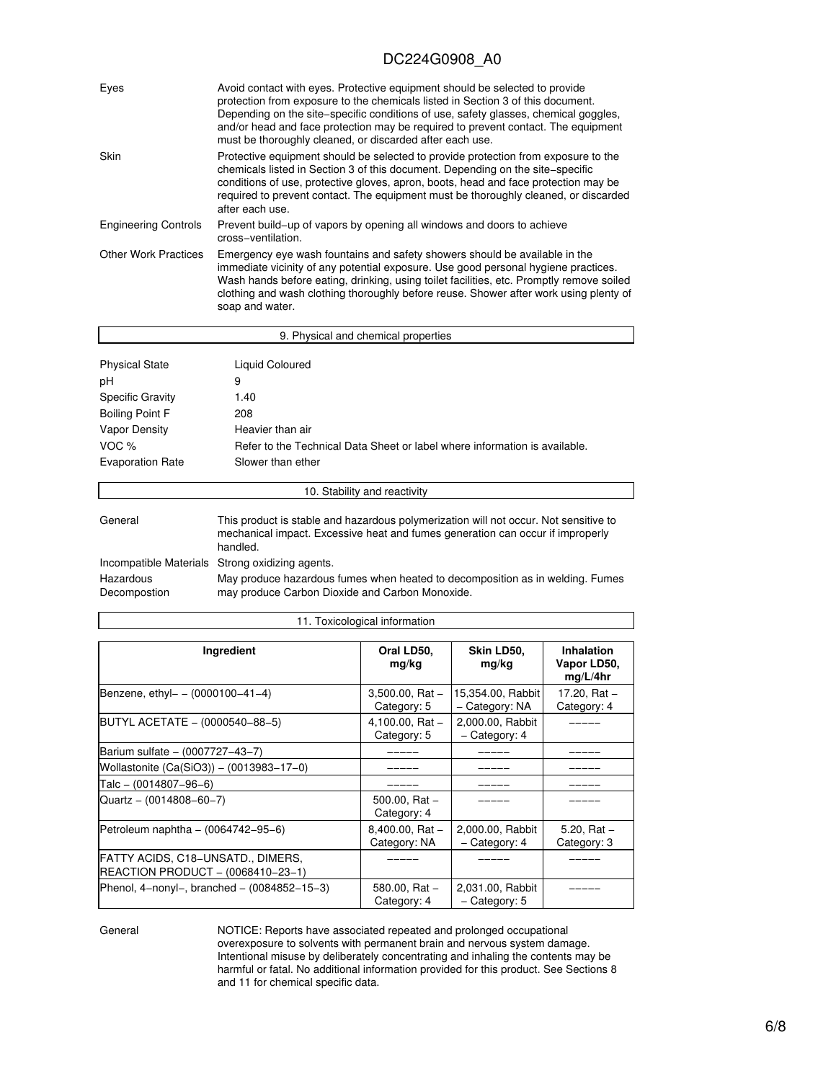| Eyes                        | Avoid contact with eyes. Protective equipment should be selected to provide<br>protection from exposure to the chemicals listed in Section 3 of this document.<br>Depending on the site–specific conditions of use, safety glasses, chemical goggles,<br>and/or head and face protection may be required to prevent contact. The equipment<br>must be thoroughly cleaned, or discarded after each use. |
|-----------------------------|--------------------------------------------------------------------------------------------------------------------------------------------------------------------------------------------------------------------------------------------------------------------------------------------------------------------------------------------------------------------------------------------------------|
| Skin                        | Protective equipment should be selected to provide protection from exposure to the<br>chemicals listed in Section 3 of this document. Depending on the site-specific<br>conditions of use, protective gloves, apron, boots, head and face protection may be<br>required to prevent contact. The equipment must be thoroughly cleaned, or discarded<br>after each use.                                  |
| <b>Engineering Controls</b> | Prevent build-up of vapors by opening all windows and doors to achieve<br>cross-ventilation.                                                                                                                                                                                                                                                                                                           |
| <b>Other Work Practices</b> | Emergency eye wash fountains and safety showers should be available in the<br>immediate vicinity of any potential exposure. Use good personal hygiene practices.<br>Wash hands before eating, drinking, using toilet facilities, etc. Promptly remove soiled<br>clothing and wash clothing thoroughly before reuse. Shower after work using plenty of<br>soap and water.                               |

|                         | 9. Physical and chemical properties                                                                                                                                                |
|-------------------------|------------------------------------------------------------------------------------------------------------------------------------------------------------------------------------|
| <b>Physical State</b>   | Liquid Coloured                                                                                                                                                                    |
| рH                      | 9                                                                                                                                                                                  |
| <b>Specific Gravity</b> | 1.40                                                                                                                                                                               |
| <b>Boiling Point F</b>  | 208                                                                                                                                                                                |
| Vapor Density           | Heavier than air                                                                                                                                                                   |
| VOC $%$                 | Refer to the Technical Data Sheet or label where information is available.                                                                                                         |
| <b>Evaporation Rate</b> | Slower than ether                                                                                                                                                                  |
|                         | 10. Stability and reactivity                                                                                                                                                       |
| General                 | This product is stable and hazardous polymerization will not occur. Not sensitive to<br>mechanical impact. Excessive heat and fumes generation can occur if improperly<br>handled. |
|                         | Incompatible Materials Strong oxidizing agents.                                                                                                                                    |
|                         |                                                                                                                                                                                    |

| Hazardous    | May produce hazardous fumes when heated to decomposition as in welding. Fumes |
|--------------|-------------------------------------------------------------------------------|
| Decompostion | may produce Carbon Dioxide and Carbon Monoxide.                               |

#### 11. Toxicological information

| Ingredient                                                              | Oral LD50,<br>mg/kg                 | Skin LD50,<br>mg/kg                 | <b>Inhalation</b><br>Vapor LD50,<br>mq/L/4hr |
|-------------------------------------------------------------------------|-------------------------------------|-------------------------------------|----------------------------------------------|
| Benzene, ethyl- $- (0000100 - 41 - 4)$                                  | $3,500.00$ , Rat $-$<br>Category: 5 | 15,354.00, Rabbit<br>- Category: NA | 17.20, Rat -<br>Category: 4                  |
| BUTYL ACETATE - (0000540-88-5)                                          | 4,100.00, Rat $-$<br>Category: 5    | 2,000.00, Rabbit<br>- Category: 4   |                                              |
| Barium sulfate - (0007727-43-7)                                         |                                     |                                     |                                              |
| Wollastonite (Ca(SiO3)) - (0013983-17-0)                                |                                     |                                     |                                              |
| Talc – (0014807–96–6)                                                   |                                     |                                     |                                              |
| Quartz - (0014808-60-7)                                                 | $500.00$ , Rat $-$<br>Category: 4   |                                     |                                              |
| Petroleum naphtha – (0064742–95–6)                                      | $8,400.00, Rat -$<br>Category: NA   | 2,000.00, Rabbit<br>- Category: 4   | 5.20, Rat $-$<br>Category: 3                 |
| FATTY ACIDS, C18–UNSATD., DIMERS,<br> REACTION PRODUCT - (0068410-23-1) |                                     |                                     |                                              |
| Phenol, 4-nonyl-, branched - $(0084852 - 15 - 3)$                       | 580.00, Rat $-$<br>Category: 4      | 2,031.00, Rabbit<br>- Category: 5   |                                              |

General NOTICE: Reports have associated repeated and prolonged occupational overexposure to solvents with permanent brain and nervous system damage. Intentional misuse by deliberately concentrating and inhaling the contents may be harmful or fatal. No additional information provided for this product. See Sections 8 and 11 for chemical specific data.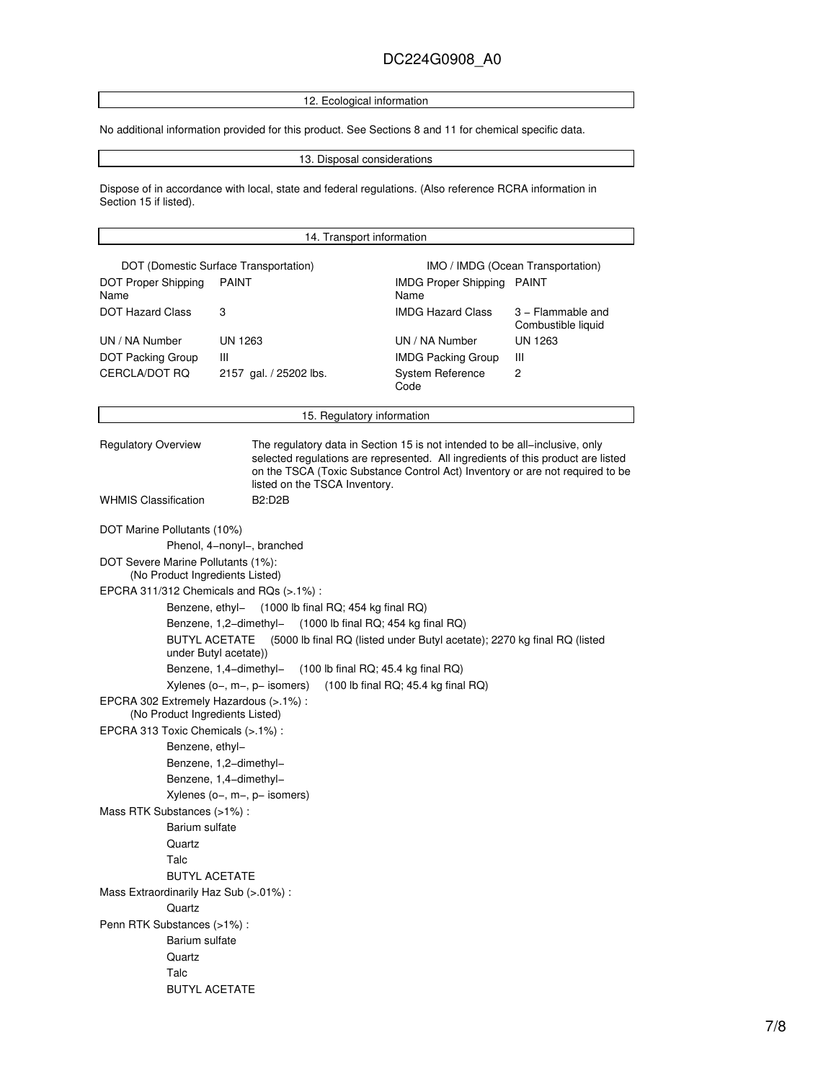12. Ecological information

No additional information provided for this product. See Sections 8 and 11 for chemical specific data.

13. Disposal considerations

Dispose of in accordance with local, state and federal regulations. (Also reference RCRA information in Section 15 if listed).

#### 14. Transport information DOT (Domestic Surface Transportation) IMO / IMDG (Ocean Transportation) DOT Proper Shipping Name PAINT **IMDG** Proper Shipping PAINT Name DOT Hazard Class 3 3 3 IMDG Hazard Class 3 − Flammable and Combustible liquid UN / NA Number UN 1263 UN / NA Number UN 1263 DOT Packing Group III **IMDG Packing Group** III CERCLA/DOT RQ 2157 gal. / 25202 lbs. System Reference Code 2 15. Regulatory information Regulatory Overview The regulatory data in Section 15 is not intended to be all−inclusive, only selected regulations are represented. All ingredients of this product are listed on the TSCA (Toxic Substance Control Act) Inventory or are not required to be listed on the TSCA Inventory. WHMIS Classification B2:D2B DOT Marine Pollutants (10%) Phenol, 4−nonyl−, branched DOT Severe Marine Pollutants (1%): (No Product Ingredients Listed) EPCRA 311/312 Chemicals and RQs (>.1%) : Benzene, ethyl− (1000 lb final RQ; 454 kg final RQ) Benzene, 1,2−dimethyl− (1000 lb final RQ; 454 kg final RQ) BUTYL ACETATE (5000 lb final RQ (listed under Butyl acetate); 2270 kg final RQ (listed under Butyl acetate)) Benzene, 1,4−dimethyl− (100 lb final RQ; 45.4 kg final RQ) Xylenes (o−, m−, p− isomers) (100 lb final RQ; 45.4 kg final RQ) EPCRA 302 Extremely Hazardous (>.1%) : (No Product Ingredients Listed) EPCRA 313 Toxic Chemicals (>.1%) : Benzene, ethyl− Benzene, 1,2−dimethyl− Benzene, 1,4−dimethyl− Xylenes (o−, m−, p− isomers) Mass RTK Substances (>1%) : Barium sulfate **Quartz** Talc BUTYL ACETATE Mass Extraordinarily Haz Sub (>.01%) : **Quartz** Penn RTK Substances (>1%) : Barium sulfate **Quartz** Talc BUTYL ACETATE